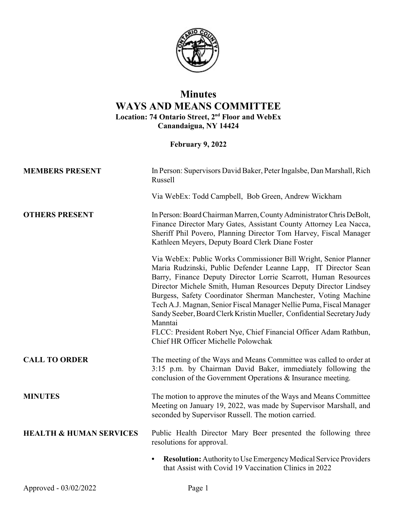

## **Minutes WAYS AND MEANS COMMITTEE Location: 74 Ontario Street, 2nd Floor and WebEx Canandaigua, NY 14424**

**February 9, 2022**

| <b>MEMBERS PRESENT</b>             | In Person: Supervisors David Baker, Peter Ingalsbe, Dan Marshall, Rich<br>Russell                                                                                                                                                                                                                                                                                                                                                                                                                                                                                                                                  |
|------------------------------------|--------------------------------------------------------------------------------------------------------------------------------------------------------------------------------------------------------------------------------------------------------------------------------------------------------------------------------------------------------------------------------------------------------------------------------------------------------------------------------------------------------------------------------------------------------------------------------------------------------------------|
|                                    | Via WebEx: Todd Campbell, Bob Green, Andrew Wickham                                                                                                                                                                                                                                                                                                                                                                                                                                                                                                                                                                |
| <b>OTHERS PRESENT</b>              | In Person: Board Chairman Marren, County Administrator Chris DeBolt,<br>Finance Director Mary Gates, Assistant County Attorney Lea Nacca,<br>Sheriff Phil Povero, Planning Director Tom Harvey, Fiscal Manager<br>Kathleen Meyers, Deputy Board Clerk Diane Foster                                                                                                                                                                                                                                                                                                                                                 |
|                                    | Via WebEx: Public Works Commissioner Bill Wright, Senior Planner<br>Maria Rudzinski, Public Defender Leanne Lapp, IT Director Sean<br>Barry, Finance Deputy Director Lorrie Scarrott, Human Resources<br>Director Michele Smith, Human Resources Deputy Director Lindsey<br>Burgess, Safety Coordinator Sherman Manchester, Voting Machine<br>Tech A.J. Magnan, Senior Fiscal Manager Nellie Puma, Fiscal Manager<br>Sandy Seeber, Board Clerk Kristin Mueller, Confidential Secretary Judy<br>Manntai<br>FLCC: President Robert Nye, Chief Financial Officer Adam Rathbun,<br>Chief HR Officer Michelle Polowchak |
| <b>CALL TO ORDER</b>               | The meeting of the Ways and Means Committee was called to order at<br>3:15 p.m. by Chairman David Baker, immediately following the<br>conclusion of the Government Operations & Insurance meeting.                                                                                                                                                                                                                                                                                                                                                                                                                 |
| <b>MINUTES</b>                     | The motion to approve the minutes of the Ways and Means Committee<br>Meeting on January 19, 2022, was made by Supervisor Marshall, and<br>seconded by Supervisor Russell. The motion carried.                                                                                                                                                                                                                                                                                                                                                                                                                      |
| <b>HEALTH &amp; HUMAN SERVICES</b> | Public Health Director Mary Beer presented the following three<br>resolutions for approval.                                                                                                                                                                                                                                                                                                                                                                                                                                                                                                                        |
|                                    | <b>Resolution:</b> Authority to Use Emergency Medical Service Providers<br>that Assist with Covid 19 Vaccination Clinics in 2022                                                                                                                                                                                                                                                                                                                                                                                                                                                                                   |
|                                    |                                                                                                                                                                                                                                                                                                                                                                                                                                                                                                                                                                                                                    |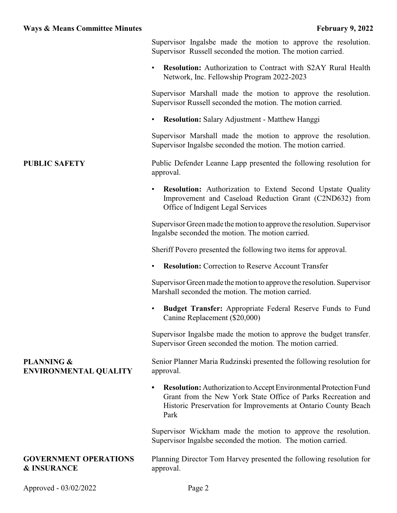Supervisor Ingalsbe made the motion to approve the resolution. Supervisor Russell seconded the motion. The motion carried.

• **Resolution:** Authorization to Contract with S2AY Rural Health Network, Inc. Fellowship Program 2022-2023

Supervisor Marshall made the motion to approve the resolution. Supervisor Russell seconded the motion. The motion carried.

• **Resolution:** Salary Adjustment - Matthew Hanggi

Supervisor Marshall made the motion to approve the resolution. Supervisor Ingalsbe seconded the motion. The motion carried.

**PUBLIC SAFETY** Public Defender Leanne Lapp presented the following resolution for approval.

> • **Resolution:** Authorization to Extend Second Upstate Quality Improvement and Caseload Reduction Grant (C2ND632) from Office of Indigent Legal Services

> Supervisor Green made the motion to approve the resolution. Supervisor Ingalsbe seconded the motion. The motion carried.

Sheriff Povero presented the following two items for approval.

• **Resolution:** Correction to Reserve Account Transfer

Supervisor Green made the motion to approve the resolution. Supervisor Marshall seconded the motion. The motion carried.

• **Budget Transfer:** Appropriate Federal Reserve Funds to Fund Canine Replacement (\$20,000)

Supervisor Ingalsbe made the motion to approve the budget transfer. Supervisor Green seconded the motion. The motion carried.

## **PLANNING & ENVIRONMENTAL QUALITY**

Senior Planner Maria Rudzinski presented the following resolution for approval.

• **Resolution:** Authorization to Accept Environmental Protection Fund Grant from the New York State Office of Parks Recreation and Historic Preservation for Improvements at Ontario County Beach Park

Supervisor Wickham made the motion to approve the resolution. Supervisor Ingalsbe seconded the motion. The motion carried.

## **GOVERNMENT OPERATIONS & INSURANCE**

Planning Director Tom Harvey presented the following resolution for approval.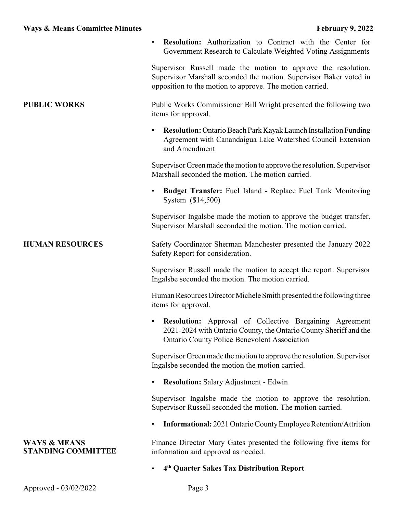|                                                      | <b>Resolution:</b> Authorization to Contract with the Center for<br>Government Research to Calculate Weighted Voting Assignments                                                                |
|------------------------------------------------------|-------------------------------------------------------------------------------------------------------------------------------------------------------------------------------------------------|
|                                                      | Supervisor Russell made the motion to approve the resolution.<br>Supervisor Marshall seconded the motion. Supervisor Baker voted in<br>opposition to the motion to approve. The motion carried. |
| <b>PUBLIC WORKS</b>                                  | Public Works Commissioner Bill Wright presented the following two<br>items for approval.                                                                                                        |
|                                                      | <b>Resolution:</b> Ontario Beach Park Kayak Launch Installation Funding<br>Agreement with Canandaigua Lake Watershed Council Extension<br>and Amendment                                         |
|                                                      | Supervisor Green made the motion to approve the resolution. Supervisor<br>Marshall seconded the motion. The motion carried.                                                                     |
|                                                      | <b>Budget Transfer:</b> Fuel Island - Replace Fuel Tank Monitoring<br>System (\$14,500)                                                                                                         |
|                                                      | Supervisor Ingalsbe made the motion to approve the budget transfer.<br>Supervisor Marshall seconded the motion. The motion carried.                                                             |
| <b>HUMAN RESOURCES</b>                               | Safety Coordinator Sherman Manchester presented the January 2022<br>Safety Report for consideration.                                                                                            |
|                                                      | Supervisor Russell made the motion to accept the report. Supervisor<br>Ingalsbe seconded the motion. The motion carried.                                                                        |
|                                                      | Human Resources Director Michele Smith presented the following three<br>items for approval.                                                                                                     |
|                                                      | <b>Resolution:</b> Approval of Collective Bargaining Agreement<br>2021-2024 with Ontario County, the Ontario County Sheriff and the<br><b>Ontario County Police Benevolent Association</b>      |
|                                                      | Supervisor Green made the motion to approve the resolution. Supervisor<br>Ingalsbe seconded the motion the motion carried.                                                                      |
|                                                      | <b>Resolution:</b> Salary Adjustment - Edwin                                                                                                                                                    |
|                                                      | Supervisor Ingalsbe made the motion to approve the resolution.<br>Supervisor Russell seconded the motion. The motion carried.                                                                   |
|                                                      | <b>Informational:</b> 2021 Ontario County Employee Retention/Attrition                                                                                                                          |
| <b>WAYS &amp; MEANS</b><br><b>STANDING COMMITTEE</b> | Finance Director Mary Gates presented the following five items for<br>information and approval as needed.                                                                                       |
|                                                      | 4 <sup>th</sup> Quarter Sakes Tax Distribution Report                                                                                                                                           |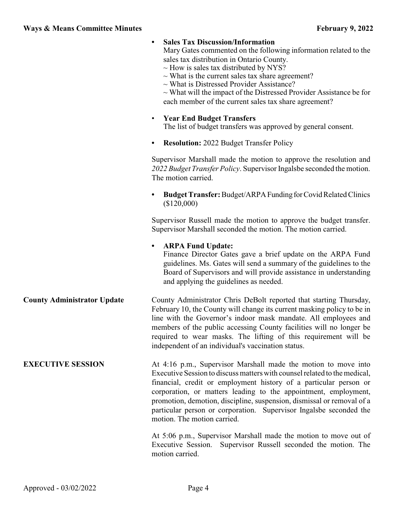|                                    | <b>Sales Tax Discussion/Information</b><br>Mary Gates commented on the following information related to the<br>sales tax distribution in Ontario County.<br>$\sim$ How is sales tax distributed by NYS?<br>$\sim$ What is the current sales tax share agreement?<br>$\sim$ What is Distressed Provider Assistance?<br>$\sim$ What will the impact of the Distressed Provider Assistance be for<br>each member of the current sales tax share agreement?            |
|------------------------------------|--------------------------------------------------------------------------------------------------------------------------------------------------------------------------------------------------------------------------------------------------------------------------------------------------------------------------------------------------------------------------------------------------------------------------------------------------------------------|
|                                    | <b>Year End Budget Transfers</b><br>$\bullet$<br>The list of budget transfers was approved by general consent.                                                                                                                                                                                                                                                                                                                                                     |
|                                    | <b>Resolution:</b> 2022 Budget Transfer Policy                                                                                                                                                                                                                                                                                                                                                                                                                     |
|                                    | Supervisor Marshall made the motion to approve the resolution and<br>2022 Budget Transfer Policy. Supervisor Ingalsbe seconded the motion.<br>The motion carried.                                                                                                                                                                                                                                                                                                  |
|                                    | <b>Budget Transfer:</b> Budget/ARPA Funding for Covid Related Clinics<br>(\$120,000)                                                                                                                                                                                                                                                                                                                                                                               |
|                                    | Supervisor Russell made the motion to approve the budget transfer.<br>Supervisor Marshall seconded the motion. The motion carried.                                                                                                                                                                                                                                                                                                                                 |
|                                    | <b>ARPA Fund Update:</b><br>$\bullet$<br>Finance Director Gates gave a brief update on the ARPA Fund<br>guidelines. Ms. Gates will send a summary of the guidelines to the<br>Board of Supervisors and will provide assistance in understanding<br>and applying the guidelines as needed.                                                                                                                                                                          |
| <b>County Administrator Update</b> | County Administrator Chris DeBolt reported that starting Thursday,<br>February 10, the County will change its current masking policy to be in<br>line with the Governor's indoor mask mandate. All employees and<br>members of the public accessing County facilities will no longer be<br>required to wear masks. The lifting of this requirement will be<br>independent of an individual's vaccination status.                                                   |
| <b>EXECUTIVE SESSION</b>           | At 4:16 p.m., Supervisor Marshall made the motion to move into<br>Executive Session to discuss matters with counsel related to the medical,<br>financial, credit or employment history of a particular person or<br>corporation, or matters leading to the appointment, employment,<br>promotion, demotion, discipline, suspension, dismissal or removal of a<br>particular person or corporation. Supervisor Ingalsbe seconded the<br>motion. The motion carried. |
|                                    | At 5:06 p.m., Supervisor Marshall made the motion to move out of<br>Executive Session.<br>Supervisor Russell seconded the motion. The<br>motion carried.                                                                                                                                                                                                                                                                                                           |